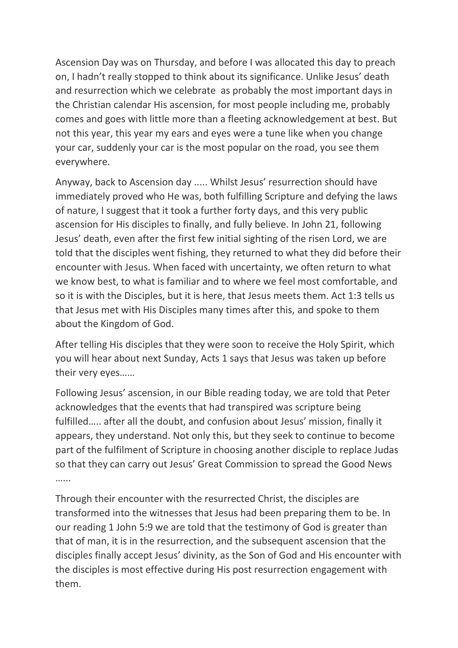Ascension Day was on Thursday, and before I was allocated this day to preach on, I hadn't really stopped to think about its significance. Unlike Jesus' death and resurrection which we celebrate as probably the most important days in the Christian calendar His ascension, for most people including me, probably comes and goes with little more than a fleeting acknowledgement at best. But not this year, this year my ears and eyes were a tune like when you change your car, suddenly your car is the most popular on the road, you see them everywhere.

Anyway, back to Ascension day ..... Whilst Jesus' resurrection should have immediately proved who He was, both fulfilling Scripture and defying the laws of nature, I suggest that it took a further forty days, and this very public ascension for His disciples to finally, and fully believe. In John 21, following Jesus' death, even after the first few initial sighting of the risen Lord, we are told that the disciples went fishing, they returned to what they did before their encounter with Jesus. When faced with uncertainty, we often return to what we know best, to what is familiar and to where we feel most comfortable, and so it is with the Disciples, but it is here, that Jesus meets them. Act 1:3 tells us that Jesus met with His Disciples many times after this, and spoke to them about the Kingdom of God.

After telling His disciples that they were soon to receive the Holy Spirit, which you will hear about next Sunday, Acts 1 says that Jesus was taken up before their very eyes……

Following Jesus' ascension, in our Bible reading today, we are told that Peter acknowledges that the events that had transpired was scripture being fulfilled….. after all the doubt, and confusion about Jesus' mission, finally it appears, they understand. Not only this, but they seek to continue to become part of the fulfilment of Scripture in choosing another disciple to replace Judas so that they can carry out Jesus' Great Commission to spread the Good News …...

Through their encounter with the resurrected Christ, the disciples are transformed into the witnesses that Jesus had been preparing them to be. In our reading 1 John 5:9 we are told that the testimony of God is greater than that of man, it is in the resurrection, and the subsequent ascension that the disciples finally accept Jesus' divinity, as the Son of God and His encounter with the disciples is most effective during His post resurrection engagement with them.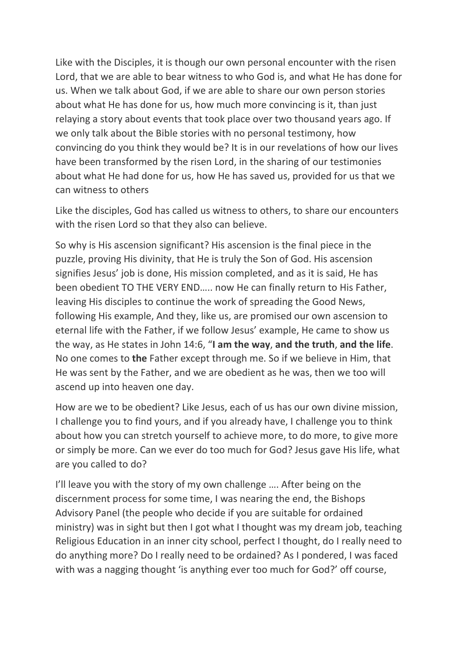Like with the Disciples, it is though our own personal encounter with the risen Lord, that we are able to bear witness to who God is, and what He has done for us. When we talk about God, if we are able to share our own person stories about what He has done for us, how much more convincing is it, than just relaying a story about events that took place over two thousand years ago. If we only talk about the Bible stories with no personal testimony, how convincing do you think they would be? It is in our revelations of how our lives have been transformed by the risen Lord, in the sharing of our testimonies about what He had done for us, how He has saved us, provided for us that we can witness to others

Like the disciples, God has called us witness to others, to share our encounters with the risen Lord so that they also can believe.

So why is His ascension significant? His ascension is the final piece in the puzzle, proving His divinity, that He is truly the Son of God. His ascension signifies Jesus' job is done, His mission completed, and as it is said, He has been obedient TO THE VERY END….. now He can finally return to His Father, leaving His disciples to continue the work of spreading the Good News, following His example, And they, like us, are promised our own ascension to eternal life with the Father, if we follow Jesus' example, He came to show us the way, as He states in John 14:6, "**I am the way**, **and the truth**, **and the life**. No one comes to **the** Father except through me. So if we believe in Him, that He was sent by the Father, and we are obedient as he was, then we too will ascend up into heaven one day.

How are we to be obedient? Like Jesus, each of us has our own divine mission, I challenge you to find yours, and if you already have, I challenge you to think about how you can stretch yourself to achieve more, to do more, to give more or simply be more. Can we ever do too much for God? Jesus gave His life, what are you called to do?

I'll leave you with the story of my own challenge …. After being on the discernment process for some time, I was nearing the end, the Bishops Advisory Panel (the people who decide if you are suitable for ordained ministry) was in sight but then I got what I thought was my dream job, teaching Religious Education in an inner city school, perfect I thought, do I really need to do anything more? Do I really need to be ordained? As I pondered, I was faced with was a nagging thought 'is anything ever too much for God?' off course,